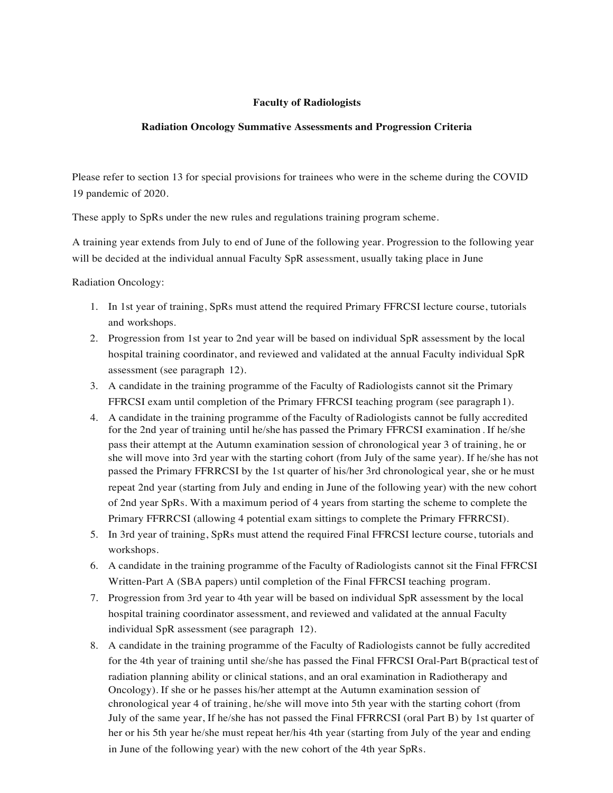## **Faculty of Radiologists**

## **Radiation Oncology Summative Assessments and Progression Criteria**

Please refer to section 13 for special provisions for trainees who were in the scheme during the COVID 19 pandemic of 2020.

These apply to SpRs under the new rules and regulations training program scheme.

A training year extends from July to end of June of the following year. Progression to the following year will be decided at the individual annual Faculty SpR assessment, usually taking place in June

Radiation Oncology:

- 1. In 1st year of training, SpRs must attend the required Primary FFRCSI lecture course, tutorials and workshops.
- 2. Progression from 1st year to 2nd year will be based on individual SpR assessment by the local hospital training coordinator, and reviewed and validated at the annual Faculty individual SpR assessment (see paragraph 12).
- 3. A candidate in the training programme of the Faculty of Radiologists cannot sit the Primary FFRCSI exam until completion of the Primary FFRCSI teaching program (see paragraph 1).
- 4. A candidate in the training programme of the Faculty of Radiologists cannot be fully accredited for the 2nd year of training until he/she has passed the Primary FFRCSI examination . If he/she pass their attempt at the Autumn examination session of chronological year 3 of training, he or she will move into 3rd year with the starting cohort (from July of the same year). If he/she has not passed the Primary FFRRCSI by the 1st quarter of his/her 3rd chronological year, she or he must repeat 2nd year (starting from July and ending in June of the following year) with the new cohort of 2nd year SpRs. With a maximum period of 4 years from starting the scheme to complete the Primary FFRRCSI (allowing 4 potential exam sittings to complete the Primary FFRRCSI).
- 5. In 3rd year of training, SpRs must attend the required Final FFRCSI lecture course, tutorials and workshops.
- 6. A candidate in the training programme of the Faculty of Radiologists cannot sit the Final FFRCSI Written-Part A (SBA papers) until completion of the Final FFRCSI teaching program.
- 7. Progression from 3rd year to 4th year will be based on individual SpR assessment by the local hospital training coordinator assessment, and reviewed and validated at the annual Faculty individual SpR assessment (see paragraph 12).
- 8. A candidate in the training programme of the Faculty of Radiologists cannot be fully accredited for the 4th year of training until she/she has passed the Final FFRCSI Oral-Part B(practical test of radiation planning ability or clinical stations, and an oral examination in Radiotherapy and Oncology). If she or he passes his/her attempt at the Autumn examination session of chronological year 4 of training, he/she will move into 5th year with the starting cohort (from July of the same year, If he/she has not passed the Final FFRRCSI (oral Part B) by 1st quarter of her or his 5th year he/she must repeat her/his 4th year (starting from July of the year and ending in June of the following year) with the new cohort of the 4th year SpRs.